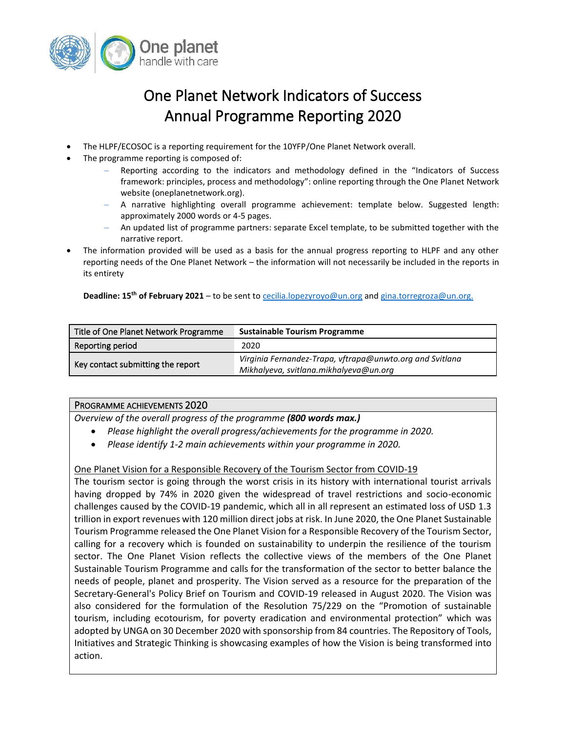

# One Planet Network Indicators of Success Annual Programme Reporting 2020

- The HLPF/ECOSOC is a reporting requirement for the 10YFP/One Planet Network overall.
- The programme reporting is composed of:
	- Reporting according to the indicators and methodology defined in the "Indicators of Success framework: principles, process and methodology": online reporting through the One Planet Network website (oneplanetnetwork.org).
	- − A narrative highlighting overall programme achievement: template below. Suggested length: approximately 2000 words or 4-5 pages.
	- An updated list of programme partners: separate Excel template, to be submitted together with the narrative report.
- The information provided will be used as a basis for the annual progress reporting to HLPF and any other reporting needs of the One Planet Network – the information will not necessarily be included in the reports in its entirety

 **Deadline: 15th of February 2021** – to be sent to [cecilia.lopezyroyo@un.org](mailto:cecilia.lopezyroyo@un.org) and [gina.torregroza@un.org.](mailto:gina.torregroza@un.org)

| Title of One Planet Network Programme | <b>Sustainable Tourism Programme</b>                     |
|---------------------------------------|----------------------------------------------------------|
| Reporting period                      | 2020                                                     |
| Key contact submitting the report     | Virginia Fernandez-Trapa, vftrapa@unwto.org and Svitlana |
|                                       | Mikhalyeva, svitlana.mikhalyeva@un.org                   |

#### PROGRAMME ACHIEVEMENTS 2020

*Overview of the overall progress of the programme (800 words max.)*

- *Please highlight the overall progress/achievements for the programme in 2020.*
- *Please identify 1-2 main achievements within your programme in 2020.*

# One Planet Vision for a Responsible Recovery of the Tourism Sector from COVID-19

The tourism sector is going through the worst crisis in its history with international tourist arrivals having dropped by 74% in 2020 given the widespread of travel restrictions and socio-economic challenges caused by the COVID-19 pandemic, which all in all represent an estimated loss of USD 1.3 trillion in export revenues with 120 million direct jobs at risk. In June 2020, the One Planet Sustainable Tourism Programme released the One Planet Vision for a Responsible Recovery of the Tourism Sector, calling for a recovery which is founded on sustainability to underpin the resilience of the tourism sector. The One Planet Vision reflects the collective views of the members of the One Planet Sustainable Tourism Programme and calls for the transformation of the sector to better balance the needs of people, planet and prosperity. The Vision served as a resource for the preparation of the Secretary-General's Policy Brief on Tourism and COVID-19 released in August 2020. The Vision was also considered for the formulation of the Resolution 75/229 on the "Promotion of sustainable tourism, including ecotourism, for poverty eradication and environmental protection" which was adopted by UNGA on 30 December 2020 with sponsorship from 84 countries. The Repository of Tools, Initiatives and Strategic Thinking is showcasing examples of how the Vision is being transformed into action.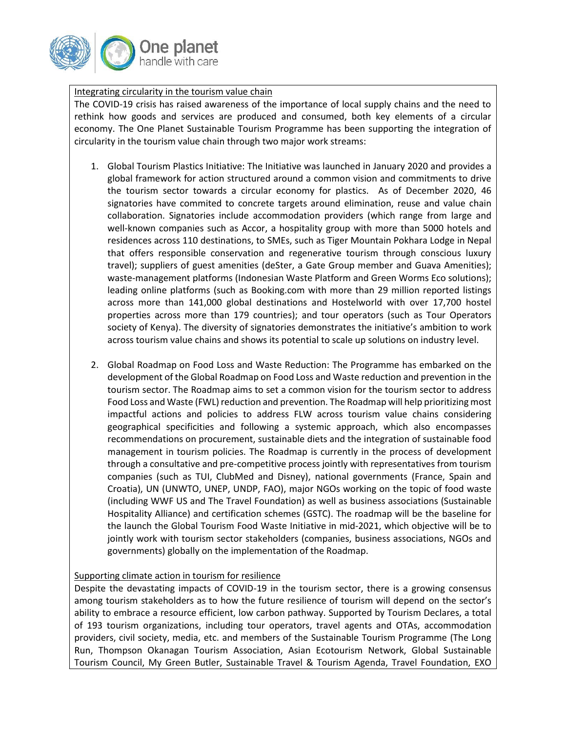

Integrating circularity in the tourism value chain

The COVID-19 crisis has raised awareness of the importance of local supply chains and the need to rethink how goods and services are produced and consumed, both key elements of a circular economy. The One Planet Sustainable Tourism Programme has been supporting the integration of circularity in the tourism value chain through two major work streams:

- 1. Global Tourism Plastics Initiative: The Initiative was launched in January 2020 and provides a global framework for action structured around a common vision and commitments to drive the tourism sector towards a circular economy for plastics. As of December 2020, 46 signatories have commited to concrete targets around elimination, reuse and value chain collaboration. Signatories include accommodation providers (which range from large and well-known companies such as Accor, a hospitality group with more than 5000 hotels and residences across 110 destinations, to SMEs, such as [Tiger Mountain Pokhara Lodge](https://www.tigermountainpokhara.com/) in Nepal that offers responsible conservation and regenerative tourism through conscious luxury travel); suppliers of guest amenities (deSter, a Gate Group member and Guava Amenities); waste-management platforms (Indonesian Waste Platform and Green Worms Eco solutions); leading online platforms (such as Booking.com with more than 29 million reported listings across more than 141,000 global destinations and Hostelworld with over 17,700 hostel properties across more than 179 countries); and tour operators (such as Tour Operators society of Kenya). The diversity of signatories demonstrates the initiative's ambition to work across tourism value chains and shows its potential to scale up solutions on industry level.
- 2. Global Roadmap on Food Loss and Waste Reduction: The Programme has embarked on the development of the Global Roadmap on Food Loss and Waste reduction and prevention in the tourism sector. The Roadmap aims to set a common vision for the tourism sector to address Food Loss and Waste (FWL) reduction and prevention. The Roadmap will help prioritizing most impactful actions and policies to address FLW across tourism value chains considering geographical specificities and following a systemic approach, which also encompasses recommendations on procurement, sustainable diets and the integration of sustainable food management in tourism policies. The Roadmap is currently in the process of development through a consultative and pre-competitive process jointly with representatives from tourism companies (such as TUI, ClubMed and Disney), national governments (France, Spain and Croatia), UN (UNWTO, UNEP, UNDP, FAO), major NGOs working on the topic of food waste (including WWF US and The Travel Foundation) as well as business associations (Sustainable Hospitality Alliance) and certification schemes (GSTC). The roadmap will be the baseline for the launch the Global Tourism Food Waste Initiative in mid-2021, which objective will be to jointly work with tourism sector stakeholders (companies, business associations, NGOs and governments) globally on the implementation of the Roadmap.

# Supporting climate action in tourism for resilience

Despite the devastating impacts of COVID-19 in the tourism sector, there is a growing consensus among tourism stakeholders as to how the future resilience of tourism will depend on the sector's ability to embrace a resource efficient, low carbon pathway. Supported by Tourism Declares, a total of 193 tourism organizations, including tour operators, travel agents and OTAs, accommodation providers, civil society, media, etc. and members of the Sustainable Tourism Programme (The Long Run, Thompson Okanagan Tourism Association, Asian Ecotourism Network, Global Sustainable Tourism Council, My Green Butler, Sustainable Travel & Tourism Agenda, Travel Foundation, EXO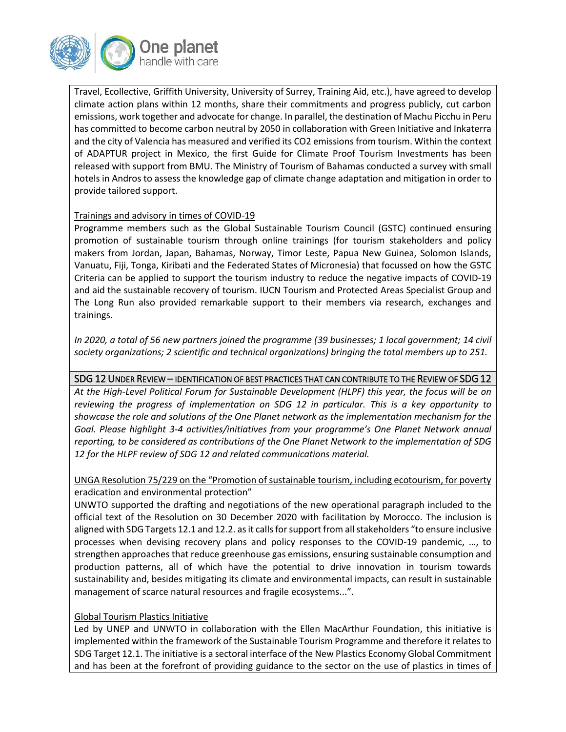

Travel, Ecollective, Griffith University, University of Surrey, Training Aid, etc.), have agreed to develop climate action plans within 12 months, share their commitments and progress publicly, cut carbon emissions, work together and advocate for change. In parallel, the destination of Machu Picchu in Peru has committed to become carbon neutral by 2050 in collaboration with Green Initiative and Inkaterra and the city of Valencia has measured and verified its CO2 emissions from tourism. Within the context of ADAPTUR project in Mexico, the first Guide for Climate Proof Tourism Investments has been released with support from BMU. The Ministry of Tourism of Bahamas conducted a survey with small hotels in Andros to assess the knowledge gap of climate change adaptation and mitigation in order to provide tailored support.

## Trainings and advisory in times of COVID-19

Programme members such as the Global Sustainable Tourism Council (GSTC) continued ensuring promotion of sustainable tourism through online trainings (for tourism stakeholders and policy makers from Jordan, Japan, Bahamas, Norway, Timor Leste, Papua New Guinea, Solomon Islands, Vanuatu, Fiji, Tonga, Kiribati and the Federated States of Micronesia) that focussed on how the GSTC Criteria can be applied to support the tourism industry to reduce the negative impacts of COVID-19 and aid the sustainable recovery of tourism. IUCN Tourism and Protected Areas Specialist Group and The Long Run also provided remarkable support to their members via research, exchanges and trainings.

*In 2020, a total of 56 new partners joined the programme (39 businesses; 1 local government; 14 civil society organizations; 2 scientific and technical organizations) bringing the total members up to 251.*

# SDG 12 UNDER REVIEW – IDENTIFICATION OF BEST PRACTICES THAT CAN CONTRIBUTE TO THE REVIEW OF SDG 12

*At the High-Level Political Forum for Sustainable Development (HLPF) this year, the focus will be on reviewing the progress of implementation on SDG 12 in particular. This is a key opportunity to showcase the role and solutions of the One Planet network as the implementation mechanism for the Goal. Please highlight 3-4 activities/initiatives from your programme's One Planet Network annual reporting, to be considered as contributions of the One Planet Network to the implementation of SDG 12 for the HLPF review of SDG 12 and related communications material.*

## UNGA Resolution 75/229 on the "Promotion of sustainable tourism, including ecotourism, for poverty eradication and environmental protection"

UNWTO supported the drafting and negotiations of the new operational paragraph included to the official text of the Resolution on 30 December 2020 with facilitation by Morocco. The inclusion is aligned with SDG Targets 12.1 and 12.2. as it calls for support from all stakeholders "to ensure inclusive processes when devising recovery plans and policy responses to the COVID-19 pandemic, …, to strengthen approaches that reduce greenhouse gas emissions, ensuring sustainable consumption and production patterns, all of which have the potential to drive innovation in tourism towards sustainability and, besides mitigating its climate and environmental impacts, can result in sustainable management of scarce natural resources and fragile ecosystems...".

#### Global Tourism Plastics Initiative

Led by UNEP and UNWTO in collaboration with the Ellen MacArthur Foundation, this initiative is implemented within the framework of the Sustainable Tourism Programme and therefore it relates to SDG Target 12.1. The initiative is a sectoral interface of the New Plastics Economy Global Commitment and has been at the forefront of providing guidance to the sector on the use of plastics in times of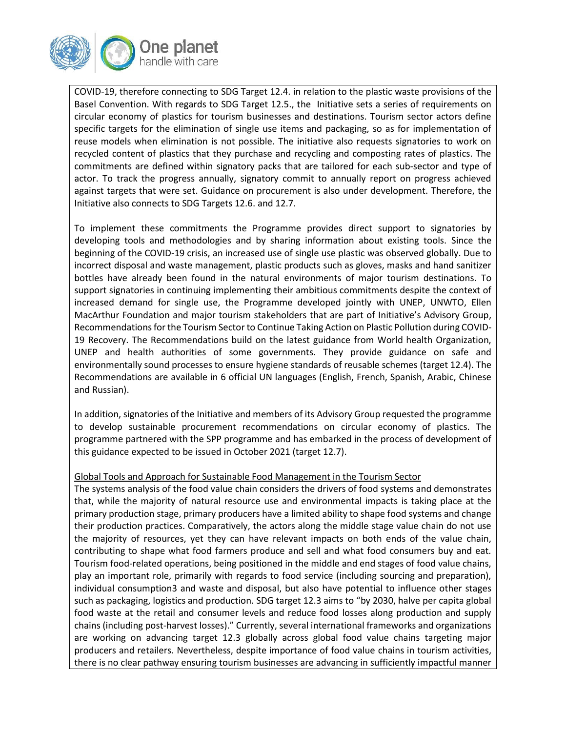

COVID-19, therefore connecting to SDG Target 12.4. in relation to the plastic waste provisions of the Basel Convention. With regards to SDG Target 12.5., the Initiative sets a series of requirements on circular economy of plastics for tourism businesses and destinations. Tourism sector actors define specific targets for the elimination of single use items and packaging, so as for implementation of reuse models when elimination is not possible. The initiative also requests signatories to work on recycled content of plastics that they purchase and recycling and composting rates of plastics. The commitments are defined within signatory packs that are tailored for each sub-sector and type of actor. To track the progress annually, signatory commit to annually report on progress achieved against targets that were set. Guidance on procurement is also under development. Therefore, the Initiative also connects to SDG Targets 12.6. and 12.7.

To implement these commitments the Programme provides direct support to signatories by developing tools and methodologies and by sharing information about existing tools. Since the beginning of the COVID-19 crisis, an increased use of single use plastic was observed globally. Due to incorrect disposal and waste management, plastic products such as gloves, masks and hand sanitizer bottles have already been found in the natural environments of major tourism destinations. To support signatories in continuing implementing their ambitious commitments despite the context of increased demand for single use, the Programme developed jointly with UNEP, UNWTO, Ellen MacArthur Foundation and major tourism stakeholders that are part of Initiative's Advisory Group, Recommendations for the Tourism Sector to Continue Taking Action on Plastic Pollution during COVID-19 Recovery. The Recommendations build on the latest guidance from World health Organization, UNEP and health authorities of some governments. They provide guidance on safe and environmentally sound processes to ensure hygiene standards of reusable schemes (target 12.4). The Recommendations are available in 6 official UN languages (English, French, Spanish, Arabic, Chinese and Russian).

In addition, signatories of the Initiative and members of its Advisory Group requested the programme to develop sustainable procurement recommendations on circular economy of plastics. The programme partnered with the SPP programme and has embarked in the process of development of this guidance expected to be issued in October 2021 (target 12.7).

#### Global Tools and Approach for Sustainable Food Management in the Tourism Sector

The systems analysis of the food value chain considers the drivers of food systems and demonstrates that, while the majority of natural resource use and environmental impacts is taking place at the primary production stage, primary producers have a limited ability to shape food systems and change their production practices. Comparatively, the actors along the middle stage value chain do not use the majority of resources, yet they can have relevant impacts on both ends of the value chain, contributing to shape what food farmers produce and sell and what food consumers buy and eat. Tourism food-related operations, being positioned in the middle and end stages of food value chains, play an important role, primarily with regards to food service (including sourcing and preparation), individual consumption3 and waste and disposal, but also have potential to influence other stages such as packaging, logistics and production. SDG target 12.3 aims to "by 2030, halve per capita global food waste at the retail and consumer levels and reduce food losses along production and supply chains (including post-harvest losses)." Currently, several international frameworks and organizations are working on advancing target 12.3 globally across global food value chains targeting major producers and retailers. Nevertheless, despite importance of food value chains in tourism activities, there is no clear pathway ensuring tourism businesses are advancing in sufficiently impactful manner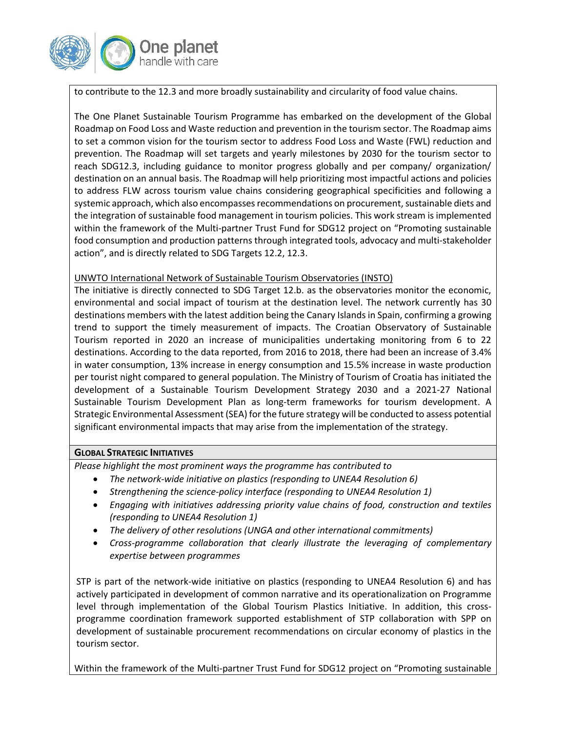

to contribute to the 12.3 and more broadly sustainability and circularity of food value chains.

The One Planet Sustainable Tourism Programme has embarked on the development of the Global Roadmap on Food Loss and Waste reduction and prevention in the tourism sector. The Roadmap aims to set a common vision for the tourism sector to address Food Loss and Waste (FWL) reduction and prevention. The Roadmap will set targets and yearly milestones by 2030 for the tourism sector to reach SDG12.3, including guidance to monitor progress globally and per company/ organization/ destination on an annual basis. The Roadmap will help prioritizing most impactful actions and policies to address FLW across tourism value chains considering geographical specificities and following a systemic approach, which also encompasses recommendations on procurement, sustainable diets and the integration of sustainable food management in tourism policies. This work stream is implemented within the framework of the Multi-partner Trust Fund for SDG12 project on "Promoting sustainable food consumption and production patterns through integrated tools, advocacy and multi-stakeholder action", and is directly related to SDG Targets 12.2, 12.3.

#### UNWTO International Network of Sustainable Tourism Observatories (INSTO)

The initiative is directly connected to SDG Target 12.b. as the observatories monitor the economic, environmental and social impact of tourism at the destination level. The network currently has 30 destinations members with the latest addition being the Canary Islands in Spain, confirming a growing trend to support the timely measurement of impacts. The Croatian Observatory of Sustainable Tourism reported in 2020 an increase of municipalities undertaking monitoring from 6 to 22 destinations. According to the data reported, from 2016 to 2018, there had been an increase of 3.4% in water consumption, 13% increase in energy consumption and 15.5% increase in waste production per tourist night compared to general population. The Ministry of Tourism of Croatia has initiated the development of a Sustainable Tourism Development Strategy 2030 and a 2021-27 National Sustainable Tourism Development Plan as long-term frameworks for tourism development. A Strategic Environmental Assessment (SEA) for the future strategy will be conducted to assess potential significant environmental impacts that may arise from the implementation of the strategy.

#### **GLOBAL STRATEGIC INITIATIVES**

*Please highlight the most prominent ways the programme has contributed to*

- *The network-wide initiative on plastics (responding to UNEA4 Resolution 6)*
- *Strengthening the science-policy interface (responding to UNEA4 Resolution 1)*
- *Engaging with initiatives addressing priority value chains of food, construction and textiles (responding to UNEA4 Resolution 1)*
- *The delivery of other resolutions (UNGA and other international commitments)*
- *Cross-programme collaboration that clearly illustrate the leveraging of complementary expertise between programmes*

STP is part of the network-wide initiative on plastics (responding to UNEA4 Resolution 6) and has actively participated in development of common narrative and its operationalization on Programme level through implementation of the Global Tourism Plastics Initiative. In addition, this crossprogramme coordination framework supported establishment of STP collaboration with SPP on development of sustainable procurement recommendations on circular economy of plastics in the tourism sector.

Within the framework of the Multi-partner Trust Fund for SDG12 project on "Promoting sustainable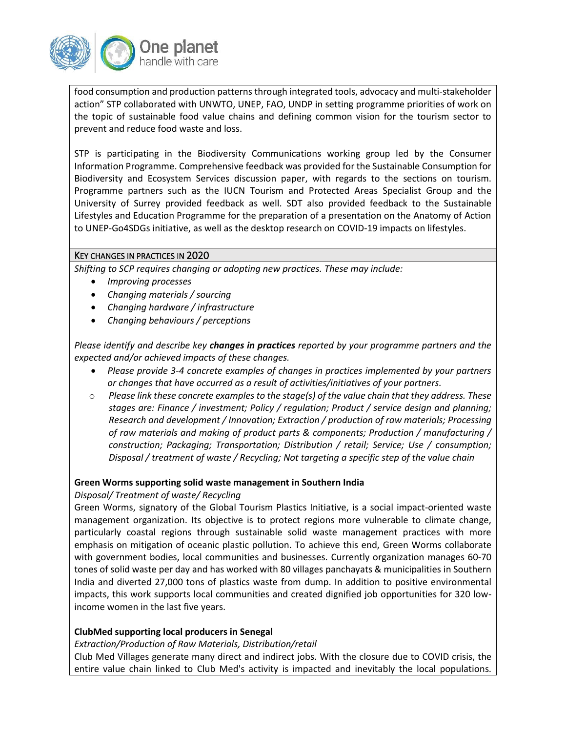

food consumption and production patterns through integrated tools, advocacy and multi-stakeholder action" STP collaborated with UNWTO, UNEP, FAO, UNDP in setting programme priorities of work on the topic of sustainable food value chains and defining common vision for the tourism sector to prevent and reduce food waste and loss.

STP is participating in the Biodiversity Communications working group led by the Consumer Information Programme. Comprehensive feedback was provided for the Sustainable Consumption for Biodiversity and Ecosystem Services discussion paper, with regards to the sections on tourism. Programme partners such as the IUCN Tourism and Protected Areas Specialist Group and the University of Surrey provided feedback as well. SDT also provided feedback to the Sustainable Lifestyles and Education Programme for the preparation of a presentation on the Anatomy of Action to UNEP-Go4SDGs initiative, as well as the desktop research on COVID-19 impacts on lifestyles.

#### KEY CHANGES IN PRACTICES IN 2020

*Shifting to SCP requires changing or adopting new practices. These may include:* 

- *Improving processes*
- *Changing materials / sourcing*
- *Changing hardware / infrastructure*
- *Changing behaviours / perceptions*

*Please identify and describe key changes in practices reported by your programme partners and the expected and/or achieved impacts of these changes.* 

- *Please provide 3-4 concrete examples of changes in practices implemented by your partners or changes that have occurred as a result of activities/initiatives of your partners.*
- o *Please link these concrete examples to the stage(s) of the value chain that they address. These stages are: Finance / investment; Policy / regulation; Product / service design and planning; Research and development / Innovation; Extraction / production of raw materials; Processing of raw materials and making of product parts & components; Production / manufacturing / construction; Packaging; Transportation; Distribution / retail; Service; Use / consumption; Disposal / treatment of waste / Recycling; Not targeting a specific step of the value chain*

#### **Green Worms supporting solid waste management in Southern India**

*Disposal/ Treatment of waste/ Recycling*

Green Worms, signatory of the Global Tourism Plastics Initiative, is a social impact-oriented waste management organization. Its objective is to protect regions more vulnerable to climate change, particularly coastal regions through sustainable solid waste management practices with more emphasis on mitigation of oceanic plastic pollution. To achieve this end, Green Worms collaborate with government bodies, local communities and businesses. Currently organization manages 60-70 tones of solid waste per day and has worked with 80 villages panchayats & municipalities in Southern India and diverted 27,000 tons of plastics waste from dump. In addition to positive environmental impacts, this work supports local communities and created dignified job opportunities for 320 lowincome women in the last five years.

#### **ClubMed supporting local producers in Senegal**

*Extraction/Production of Raw Materials, Distribution/retail*

Club Med Villages generate many direct and indirect jobs. With the closure due to COVID crisis, the entire value chain linked to Club Med's activity is impacted and inevitably the local populations.